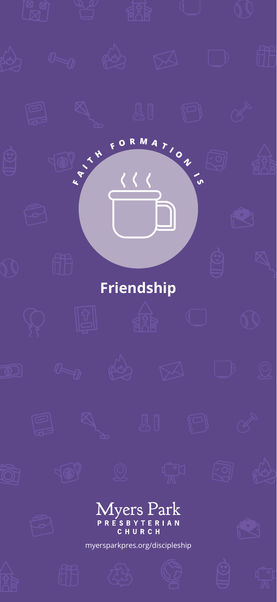